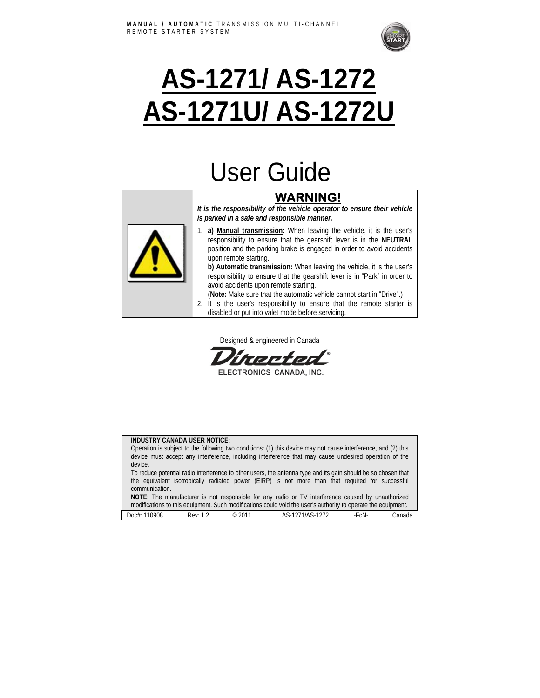

# **AS-1271/ AS-1272 AS-1271U/ AS-1272U**

## User Guide

## **WARNING!**

*It is the responsibility of the vehicle operator to ensure their vehicle is parked in a safe and responsible manner.* 



1. **a) Manual transmission:** When leaving the vehicle, it is the user's responsibility to ensure that the gearshift lever is in the **NEUTRAL** position and the parking brake is engaged in order to avoid accidents upon remote starting.

**b) Automatic transmission:** When leaving the vehicle, it is the user's responsibility to ensure that the gearshift lever is in "Park" in order to avoid accidents upon remote starting.

- (**Note:** Make sure that the automatic vehicle cannot start in "Drive".)
- 2. It is the user's responsibility to ensure that the remote starter is disabled or put into valet mode before servicing.

Designed & engineered in Canada

mrtn

ELECTRONICS CANADA, INC.

#### **INDUSTRY CANADA USER NOTICE:**

| Operation is subject to the following two conditions: (1) this device may not cause interference, and (2) this<br>device must accept any interference, including interference that may cause undesired operation of the |        |
|-------------------------------------------------------------------------------------------------------------------------------------------------------------------------------------------------------------------------|--------|
| device.                                                                                                                                                                                                                 |        |
| To reduce potential radio interference to other users, the antenna type and its gain should be so chosen that                                                                                                           |        |
| the equivalent isotropically radiated power (EIRP) is not more than that required for successful                                                                                                                        |        |
| communication.                                                                                                                                                                                                          |        |
| NOTE: The manufacturer is not responsible for any radio or TV interference caused by unauthorized                                                                                                                       |        |
| modifications to this equipment. Such modifications could void the user's authority to operate the equipment.                                                                                                           |        |
|                                                                                                                                                                                                                         |        |
| $\circ$ 2011<br>AS-1271/AS-1272<br>Doc#: 110908<br>-FcN-<br>Rev: 1.2                                                                                                                                                    | Canada |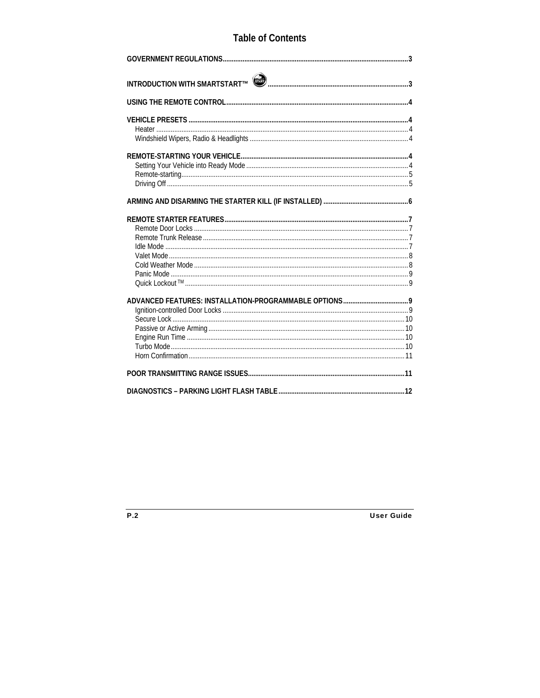### **Table of Contents**

| INTRODUCTION WITH SMARTSTART™ (███████████████████████████████████ |  |
|--------------------------------------------------------------------|--|
|                                                                    |  |
|                                                                    |  |
|                                                                    |  |
|                                                                    |  |
|                                                                    |  |
|                                                                    |  |
|                                                                    |  |
|                                                                    |  |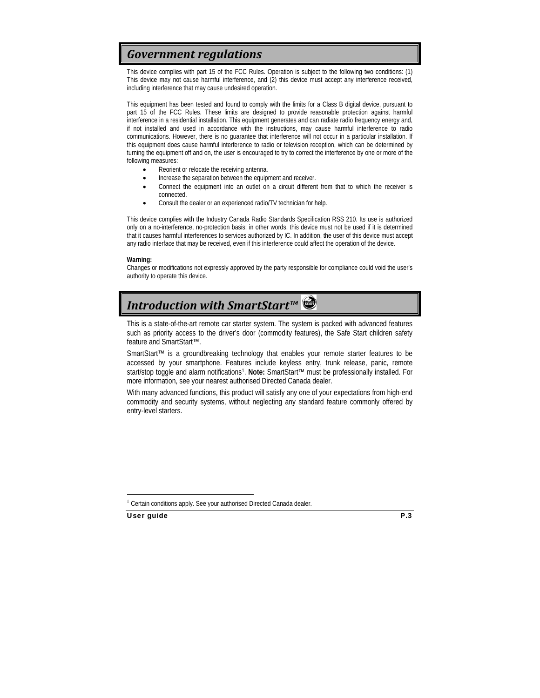## *Government regulations*

This device complies with part 15 of the FCC Rules. Operation is subject to the following two conditions: (1) This device may not cause harmful interference, and (2) this device must accept any interference received, including interference that may cause undesired operation.

This equipment has been tested and found to comply with the limits for a Class B digital device, pursuant to part 15 of the FCC Rules. These limits are designed to provide reasonable protection against harmful interference in a residential installation. This equipment generates and can radiate radio frequency energy and, if not installed and used in accordance with the instructions, may cause harmful interference to radio communications. However, there is no guarantee that interference will not occur in a particular installation. If this equipment does cause harmful interference to radio or television reception, which can be determined by turning the equipment off and on, the user is encouraged to try to correct the interference by one or more of the following measures:

- Reorient or relocate the receiving antenna.
- Increase the separation between the equipment and receiver.
- Connect the equipment into an outlet on a circuit different from that to which the receiver is connected.
- Consult the dealer or an experienced radio/TV technician for help.

This device complies with the Industry Canada Radio Standards Specification RSS 210. Its use is authorized only on a no-interference, no-protection basis; in other words, this device must not be used if it is determined that it causes harmful interferences to services authorized by IC. In addition, the user of this device must accept any radio interface that may be received, even if this interference could affect the operation of the device.

#### **Warning:**

Changes or modifications not expressly approved by the party responsible for compliance could void the user's authority to operate this device.

## *Introduction with SmartStart™*

This is a state-of-the-art remote car starter system. The system is packed with advanced features such as priority access to the driver's door (commodity features), the Safe Start children safety feature and SmartStart™.

SmartStart™ is a groundbreaking technology that enables your remote starter features to be accessed by your smartphone. Features include keyless entry, trunk release, panic, remote start/stop toggle and alarm notifications1. **Note:** SmartStart™ must be professionally installed. For more information, see your nearest authorised Directed Canada dealer.

With many advanced functions, this product will satisfy any one of your expectations from high-end commodity and security systems, without neglecting any standard feature commonly offered by entry-level starters.

 $\overline{a}$  $1$  Certain conditions apply. See your authorised Directed Canada dealer.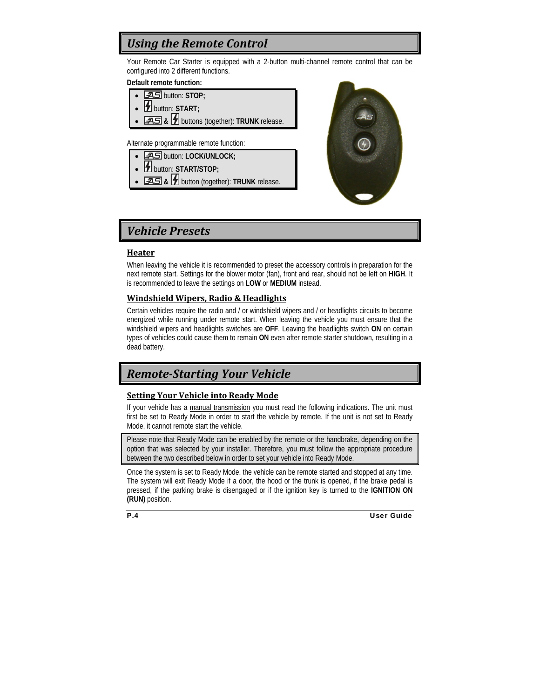## *Using the Remote Control*

Your Remote Car Starter is equipped with a 2-button multi-channel remote control that can be configured into 2 different functions.

#### **Default remote function:**

- button: **STOP;**
- **14** button: START;
- • **&** buttons (together): **TRUNK** release.

Alternate programmable remote function:

- **AS** button: LOCK/UNLOCK;
- button: **START/STOP;**
- • **&** button (together): **TRUNK** release.



### *Vehicle Presets*

#### **Heater**

When leaving the vehicle it is recommended to preset the accessory controls in preparation for the next remote start. Settings for the blower motor (fan), front and rear, should not be left on **HIGH**. It is recommended to leave the settings on **LOW** or **MEDIUM** instead.

#### **Windshield Wipers, Radio & Headlights**

Certain vehicles require the radio and / or windshield wipers and / or headlights circuits to become energized while running under remote start. When leaving the vehicle you must ensure that the windshield wipers and headlights switches are **OFF**. Leaving the headlights switch **ON** on certain types of vehicles could cause them to remain **ON** even after remote starter shutdown, resulting in a dead battery.

## *RemoteStarting Your Vehicle*

#### **Setting Your Vehicle into Ready Mode**

If your vehicle has a manual transmission you must read the following indications. The unit must first be set to Ready Mode in order to start the vehicle by remote. If the unit is not set to Ready Mode, it cannot remote start the vehicle.

Please note that Ready Mode can be enabled by the remote or the handbrake, depending on the option that was selected by your installer. Therefore, you must follow the appropriate procedure between the two described below in order to set your vehicle into Ready Mode.

Once the system is set to Ready Mode, the vehicle can be remote started and stopped at any time. The system will exit Ready Mode if a door, the hood or the trunk is opened, if the brake pedal is pressed, if the parking brake is disengaged or if the ignition key is turned to the **IGNITION ON (RUN)** position.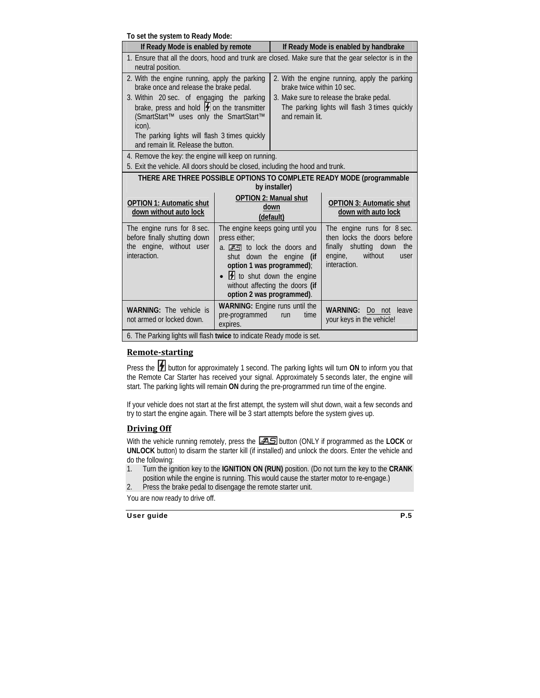**To set the system to Ready Mode:** 

| TO SUITING SYSIUM TO MUALY MOUU.<br>If Ready Mode is enabled by remote                                                                                                                                                                                                                                                                       |                                                                                                                                                                                                                                                               | If Ready Mode is enabled by handbrake                                                                                                                                                       |                                                                                                                                      |  |
|----------------------------------------------------------------------------------------------------------------------------------------------------------------------------------------------------------------------------------------------------------------------------------------------------------------------------------------------|---------------------------------------------------------------------------------------------------------------------------------------------------------------------------------------------------------------------------------------------------------------|---------------------------------------------------------------------------------------------------------------------------------------------------------------------------------------------|--------------------------------------------------------------------------------------------------------------------------------------|--|
| 1. Ensure that all the doors, hood and trunk are closed. Make sure that the gear selector is in the<br>neutral position.                                                                                                                                                                                                                     |                                                                                                                                                                                                                                                               |                                                                                                                                                                                             |                                                                                                                                      |  |
| 2. With the engine running, apply the parking<br>brake once and release the brake pedal.<br>3. Within 20 sec. of engaging the parking<br>brake, press and hold $\blacksquare$ on the transmitter<br>(SmartStart™ uses only the SmartStart™<br>icon).<br>The parking lights will flash 3 times quickly<br>and remain lit. Release the button. |                                                                                                                                                                                                                                                               | 2. With the engine running, apply the parking<br>brake twice within 10 sec.<br>3. Make sure to release the brake pedal.<br>The parking lights will flash 3 times quickly<br>and remain lit. |                                                                                                                                      |  |
| 4. Remove the key: the engine will keep on running.<br>5. Exit the vehicle. All doors should be closed, including the hood and trunk.                                                                                                                                                                                                        |                                                                                                                                                                                                                                                               |                                                                                                                                                                                             |                                                                                                                                      |  |
| THERE ARE THREE POSSIBLE OPTIONS TO COMPLETE READY MODE (programmable<br>by installer)                                                                                                                                                                                                                                                       |                                                                                                                                                                                                                                                               |                                                                                                                                                                                             |                                                                                                                                      |  |
| <b>OPTION 1: Automatic shut</b><br>down without auto lock                                                                                                                                                                                                                                                                                    | <b>OPTION 2: Manual shut</b><br>down<br>(default)                                                                                                                                                                                                             |                                                                                                                                                                                             | <b>OPTION 3: Automatic shut</b><br>down with auto lock                                                                               |  |
| The engine runs for 8 sec.<br>before finally shutting down<br>the engine, without user<br>interaction.                                                                                                                                                                                                                                       | The engine keeps going until you<br>press either;<br>a. <b>AS</b> to lock the doors and<br>shut down the engine<br>(if<br>option 1 was programmed);<br>$\overline{2}$ to shut down the engine<br>without affecting the doors (if<br>option 2 was programmed). |                                                                                                                                                                                             | The engine runs for 8 sec.<br>then locks the doors before<br>finally shutting down the<br>without<br>engine,<br>user<br>interaction. |  |
| <b>WARNING:</b> The vehicle is<br>not armed or locked down.                                                                                                                                                                                                                                                                                  | <b>WARNING:</b> Engine runs until the<br>pre-programmed<br>expires.                                                                                                                                                                                           | time<br>run                                                                                                                                                                                 | <b>WARNING:</b><br>Do not<br>leave<br>your keys in the vehicle!                                                                      |  |
| 6. The Parking lights will flash twice to indicate Ready mode is set.                                                                                                                                                                                                                                                                        |                                                                                                                                                                                                                                                               |                                                                                                                                                                                             |                                                                                                                                      |  |

#### **Remotestarting**

Press the **button for approximately 1 second.** The parking lights will turn ON to inform you that the Remote Car Starter has received your signal. Approximately 5 seconds later, the engine will start. The parking lights will remain **ON** during the pre-programmed run time of the engine.

If your vehicle does not start at the first attempt, the system will shut down, wait a few seconds and try to start the engine again. There will be 3 start attempts before the system gives up.

#### **Driving Off**

With the vehicle running remotely, press the **[AS**] button (ONLY if programmed as the **LOCK** or **UNLOCK** button) to disarm the starter kill (if installed) and unlock the doors. Enter the vehicle and do the following:

- 1. Turn the ignition key to the **IGNITION ON (RUN)** position. (Do not turn the key to the **CRANK**  position while the engine is running. This would cause the starter motor to re-engage.)
- 2. Press the brake pedal to disengage the remote starter unit.

You are now ready to drive off.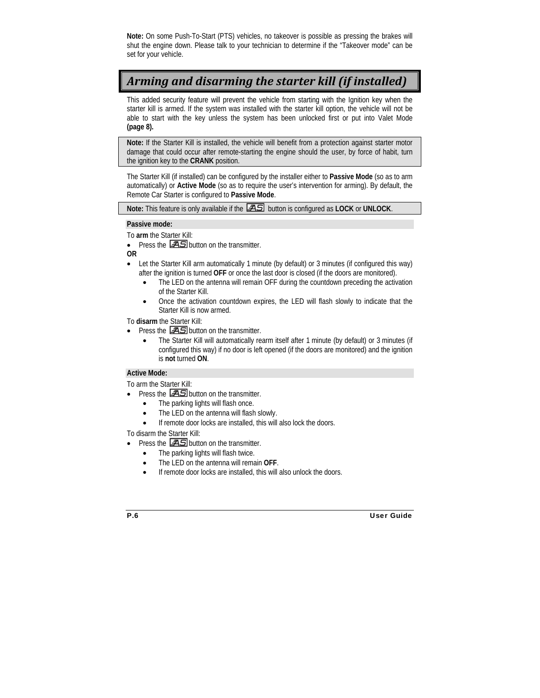**Note:** On some Push-To-Start (PTS) vehicles, no takeover is possible as pressing the brakes will shut the engine down. Please talk to your technician to determine if the "Takeover mode" can be set for your vehicle.

## *Arming and disarming the starter kill (if installed)*

This added security feature will prevent the vehicle from starting with the Ignition key when the starter kill is armed. If the system was installed with the starter kill option, the vehicle will not be able to start with the key unless the system has been unlocked first or put into Valet Mode **(page 8).**

**Note:** If the Starter Kill is installed, the vehicle will benefit from a protection against starter motor damage that could occur after remote-starting the engine should the user, by force of habit, turn the ignition key to the **CRANK** position.

The Starter Kill (if installed) can be configured by the installer either to **Passive Mode** (so as to arm automatically) or **Active Mode** (so as to require the user's intervention for arming). By default, the Remote Car Starter is configured to **Passive Mode**.

**Note:** This feature is only available if the button is configured as **LOCK** or **UNLOCK**.

#### **Passive mode:**

To **arm** the Starter Kill:

- Press the  $\Xi$  button on the transmitter.
- **OR**
- Let the Starter Kill arm automatically 1 minute (by default) or 3 minutes (if configured this way) after the ignition is turned **OFF** or once the last door is closed (if the doors are monitored).
	- The LED on the antenna will remain OFF during the countdown preceding the activation of the Starter Kill.
	- Once the activation countdown expires, the LED will flash slowly to indicate that the Starter Kill is now armed.

To **disarm** the Starter Kill:

- Press the  $\Xi$  button on the transmitter.
	- The Starter Kill will automatically rearm itself after 1 minute (by default) or 3 minutes (if configured this way) if no door is left opened (if the doors are monitored) and the ignition is **not** turned **ON**.

#### **Active Mode:**

To arm the Starter Kill:

- Press the  $\Xi$  button on the transmitter.
	- The parking lights will flash once.
	- The LED on the antenna will flash slowly.
	- If remote door locks are installed, this will also lock the doors.

To disarm the Starter Kill:

- Press the  $\Xi$  button on the transmitter.
	- The parking lights will flash twice.
	- The LED on the antenna will remain **OFF**.
	- If remote door locks are installed, this will also unlock the doors.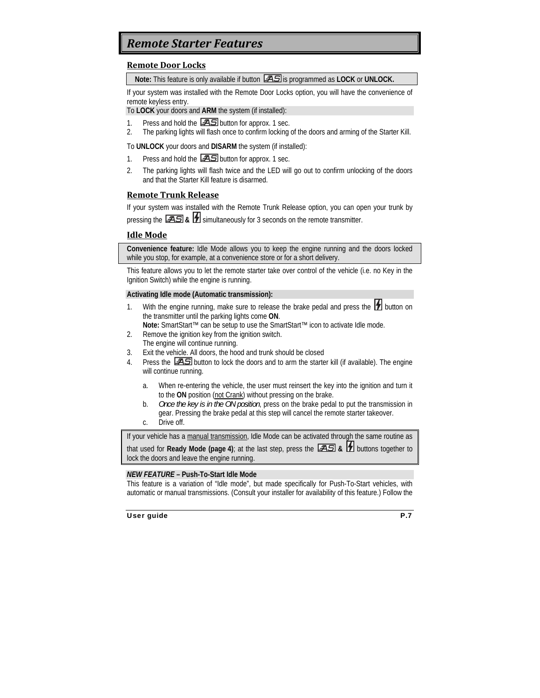## *Remote Starter Features*

#### **Remote Door Locks**

**Note:** This feature is only available if button  $\overline{AB}$  is programmed as LOCK or UNLOCK.

If your system was installed with the Remote Door Locks option, you will have the convenience of remote keyless entry.

To **LOCK** your doors and **ARM** the system (if installed):

- 1. Press and hold the  $\frac{25}{10}$  button for approx. 1 sec.
- 2. The parking lights will flash once to confirm locking of the doors and arming of the Starter Kill.

To **UNLOCK** your doors and **DISARM** the system (if installed):

- 1. Press and hold the  $\overline{25}$  button for approx. 1 sec.
- 2. The parking lights will flash twice and the LED will go out to confirm unlocking of the doors and that the Starter Kill feature is disarmed.

#### **Remote Trunk Release**

If your system was installed with the Remote Trunk Release option, you can open your trunk by pressing the **AS** & **1** simultaneously for 3 seconds on the remote transmitter.

#### **Idle Mode**

**Convenience feature:** Idle Mode allows you to keep the engine running and the doors locked while you stop, for example, at a convenience store or for a short delivery.

This feature allows you to let the remote starter take over control of the vehicle (i.e. no Key in the Ignition Switch) while the engine is running.

#### **Activating Idle mode (Automatic transmission):**

- 1. With the engine running, make sure to release the brake pedal and press the  $\mathcal H$  button on the transmitter until the parking lights come **ON**.
- **Note:** SmartStart™ can be setup to use the SmartStart™ icon to activate Idle mode.
- 2. Remove the ignition key from the ignition switch. The engine will continue running.
- 3. Exit the vehicle. All doors, the hood and trunk should be closed
- 4. Press the  $\overline{25}$  button to lock the doors and to arm the starter kill (if available). The engine will continue running.
	- a. When re-entering the vehicle, the user must reinsert the key into the ignition and turn it to the **ON** position (not Crank) without pressing on the brake.
	- b. *Once the key is in the ON position*, press on the brake pedal to put the transmission in gear. Pressing the brake pedal at this step will cancel the remote starter takeover.
	- c. Drive off.

If your vehicle has a manual transmission, Idle Mode can be activated through the same routine as that used for **Ready Mode (page 4)**; at the last step, press the  $\Box$  **B**  $\Box$  **b**uttons together to lock the doors and leave the engine running.

#### *NEW FEATURE –* **Push-To-Start Idle Mode**

This feature is a variation of "Idle mode", but made specifically for Push-To-Start vehicles, with automatic or manual transmissions. (Consult your installer for availability of this feature.) Follow the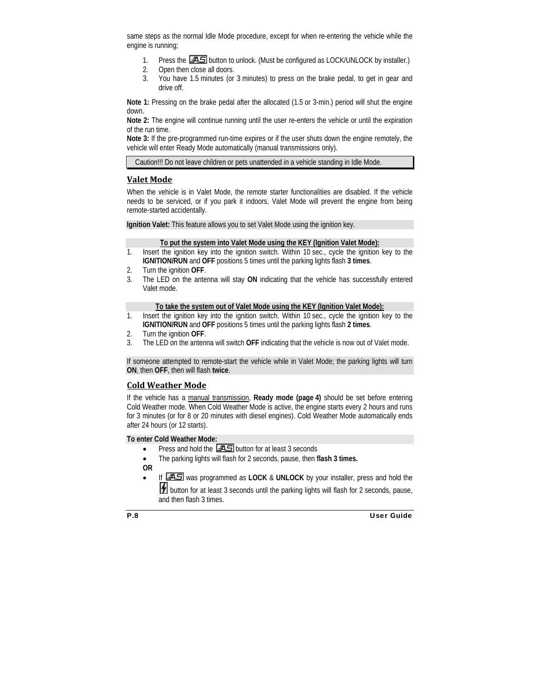same steps as the normal Idle Mode procedure, except for when re-entering the vehicle while the engine is running;

- 1. Press the **35** button to unlock. (Must be configured as LOCK/UNLOCK by installer.)
- 2. Open then close all doors.
- 3. You have 1.5 minutes (or 3 minutes) to press on the brake pedal, to get in gear and drive off.

**Note 1:** Pressing on the brake pedal after the allocated (1.5 or 3-min.) period will shut the engine down.

**Note 2:** The engine will continue running until the user re-enters the vehicle or until the expiration of the run time.

**Note 3:** If the pre-programmed run-time expires or if the user shuts down the engine remotely, the vehicle will enter Ready Mode automatically (manual transmissions only).

Caution!!! Do not leave children or pets unattended in a vehicle standing in Idle Mode.

#### **Valet Mode**

When the vehicle is in Valet Mode, the remote starter functionalities are disabled. If the vehicle needs to be serviced, or if you park it indoors, Valet Mode will prevent the engine from being remote-started accidentally.

**Ignition Valet:** This feature allows you to set Valet Mode using the ignition key.

#### **To put the system into Valet Mode using the KEY (Ignition Valet Mode):**

- 1. Insert the ignition key into the ignition switch. Within 10 sec., cycle the ignition key to the **IGNITION/RUN** and **OFF** positions 5 times until the parking lights flash **3 times**.
- 2. Turn the ignition **OFF**.
- 3. The LED on the antenna will stay **ON** indicating that the vehicle has successfully entered Valet mode.

#### **To take the system out of Valet Mode using the KEY (Ignition Valet Mode):**

- 1. Insert the ignition key into the ignition switch. Within 10 sec., cycle the ignition key to the **IGNITION/RUN** and **OFF** positions 5 times until the parking lights flash **2 times**.
- 2. Turn the ignition **OFF**.
- 3. The LED on the antenna will switch **OFF** indicating that the vehicle is now out of Valet mode.

If someone attempted to remote-start the vehicle while in Valet Mode; the parking lights will turn **ON**, then **OFF**, then will flash **twice**.

#### **Cold Weather Mode**

If the vehicle has a manual transmission, **Ready mode (page 4)** should be set before entering Cold Weather mode. When Cold Weather Mode is active, the engine starts every 2 hours and runs for 3 minutes (or for 8 or 20 minutes with diesel engines). Cold Weather Mode automatically ends after 24 hours (or 12 starts).

#### **To enter Cold Weather Mode:**

- Press and hold the  $\sqrt{25}$  button for at least 3 seconds
- The parking lights will flash for 2 seconds, pause, then **flash 3 times.**

**OR** 

If **FAS** was programmed as LOCK & UNLOCK by your installer, press and hold the **1** button for at least 3 seconds until the parking lights will flash for 2 seconds, pause,

and then flash 3 times.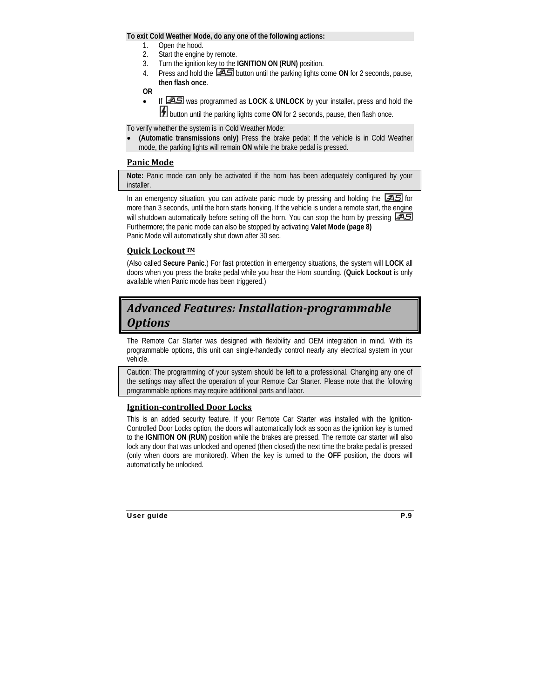#### **To exit Cold Weather Mode, do any one of the following actions:**

- 1. Open the hood.
- 2. Start the engine by remote.
- 3. Turn the ignition key to the **IGNITION ON (RUN)** position.
- 4. Press and hold the **25** button until the parking lights come ON for 2 seconds, pause, **then flash once**.

**OR** 

• If was programmed as **LOCK** & **UNLOCK** by your installer**,** press and hold the **1** button until the parking lights come ON for 2 seconds, pause, then flash once.

To verify whether the system is in Cold Weather Mode:

• **(Automatic transmissions only)** Press the brake pedal: If the vehicle is in Cold Weather mode, the parking lights will remain **ON** while the brake pedal is pressed.

#### **Panic Mode**

**Note:** Panic mode can only be activated if the horn has been adequately configured by your installer.

In an emergency situation, you can activate panic mode by pressing and holding the  $\mathcal{F}(\mathcal{S})$  for more than 3 seconds, until the horn starts honking. If the vehicle is under a remote start, the engine will shutdown automatically before setting off the horn. You can stop the horn by pressing  $\sqrt{25}$ Furthermore; the panic mode can also be stopped by activating **Valet Mode (page 8)**  Panic Mode will automatically shut down after 30 sec.

#### **Quick Lockout TM**

(Also called **Secure Panic**.) For fast protection in emergency situations, the system will **LOCK** all doors when you press the brake pedal while you hear the Horn sounding. (**Quick Lockout** is only available when Panic mode has been triggered.)

## *Advanced Features: Installationprogrammable Options*

The Remote Car Starter was designed with flexibility and OEM integration in mind. With its programmable options, this unit can single-handedly control nearly any electrical system in your vehicle.

Caution: The programming of your system should be left to a professional. Changing any one of the settings may affect the operation of your Remote Car Starter. Please note that the following programmable options may require additional parts and labor.

#### **Ignitioncontrolled Door Locks**

This is an added security feature. If your Remote Car Starter was installed with the Ignition-Controlled Door Locks option, the doors will automatically lock as soon as the ignition key is turned to the **IGNITION ON (RUN)** position while the brakes are pressed. The remote car starter will also lock any door that was unlocked and opened (then closed) the next time the brake pedal is pressed (only when doors are monitored). When the key is turned to the **OFF** position, the doors will automatically be unlocked.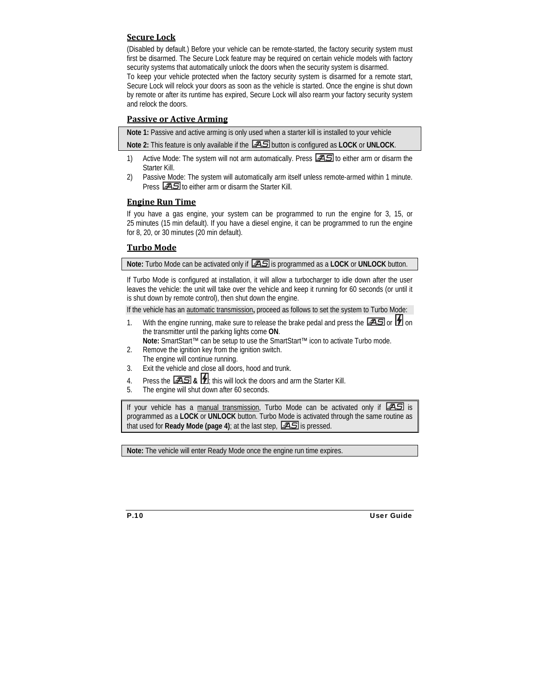#### **Secure Lock**

(Disabled by default.) Before your vehicle can be remote-started, the factory security system must first be disarmed. The Secure Lock feature may be required on certain vehicle models with factory security systems that automatically unlock the doors when the security system is disarmed.

To keep your vehicle protected when the factory security system is disarmed for a remote start, Secure Lock will relock your doors as soon as the vehicle is started. Once the engine is shut down by remote or after its runtime has expired, Secure Lock will also rearm your factory security system and relock the doors.

#### **Passive or Active Arming**

**Note 1:** Passive and active arming is only used when a starter kill is installed to your vehicle

**Note 2:** This feature is only available if the button is configured as **LOCK** or **UNLOCK**.

- 1) Active Mode: The system will not arm automatically. Press  $\overline{25}$  to either arm or disarm the Starter Kill.
- 2) Passive Mode: The system will automatically arm itself unless remote-armed within 1 minute. Press  $\sqrt{25}$  to either arm or disarm the Starter Kill.

#### **Engine Run Time**

If you have a gas engine, your system can be programmed to run the engine for 3, 15, or 25 minutes (15 min default). If you have a diesel engine, it can be programmed to run the engine for 8, 20, or 30 minutes (20 min default).

#### **Turbo Mode**

**Note:** Turbo Mode can be activated only if  $\Box 3$  is programmed as a LOCK or UNLOCK button.

If Turbo Mode is configured at installation, it will allow a turbocharger to idle down after the user leaves the vehicle: the unit will take over the vehicle and keep it running for 60 seconds (or until it is shut down by remote control), then shut down the engine.

If the vehicle has an automatic transmission**,** proceed as follows to set the system to Turbo Mode:

1. With the engine running, make sure to release the brake pedal and press the  $\Box$  or  $\Box$  on the transmitter until the parking lights come **ON**.

**Note:** SmartStart™ can be setup to use the SmartStart™ icon to activate Turbo mode.

- 2. Remove the ignition key from the ignition switch. The engine will continue running.
- 3. Exit the vehicle and close all doors, hood and trunk.
- 4. Press the **AS** & **1**; this will lock the doors and arm the Starter Kill.
- 5. The engine will shut down after 60 seconds.

If your vehicle has a manual transmission, Turbo Mode can be activated only if  $\Box$  is programmed as a **LOCK** or **UNLOCK** button. Turbo Mode is activated through the same routine as that used for **Ready Mode (page 4)**; at the last step,  $\boxed{\mathcal{A}}\mathbf{S}$  is pressed.

**Note:** The vehicle will enter Ready Mode once the engine run time expires.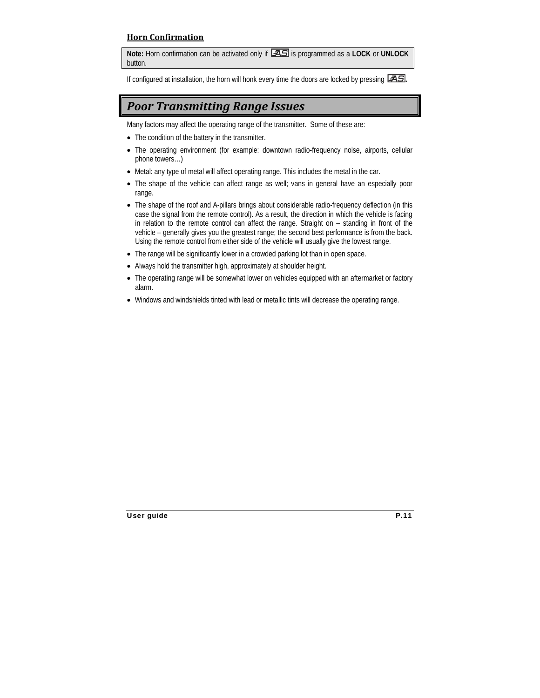#### **Horn Confirmation**

**Note:** Horn confirmation can be activated only if is programmed as a **LOCK** or **UNLOCK** button.

If configured at installation, the horn will honk every time the doors are locked by pressing **. AS**.

## *Poor Transmitting Range Issues*

Many factors may affect the operating range of the transmitter. Some of these are:

- The condition of the battery in the transmitter.
- The operating environment (for example: downtown radio-frequency noise, airports, cellular phone towers…)
- Metal: any type of metal will affect operating range. This includes the metal in the car.
- The shape of the vehicle can affect range as well; vans in general have an especially poor range.
- The shape of the roof and A-pillars brings about considerable radio-frequency deflection (in this case the signal from the remote control). As a result, the direction in which the vehicle is facing in relation to the remote control can affect the range. Straight on – standing in front of the vehicle – generally gives you the greatest range; the second best performance is from the back. Using the remote control from either side of the vehicle will usually give the lowest range.
- The range will be significantly lower in a crowded parking lot than in open space.
- Always hold the transmitter high, approximately at shoulder height.
- The operating range will be somewhat lower on vehicles equipped with an aftermarket or factory alarm.
- Windows and windshields tinted with lead or metallic tints will decrease the operating range.